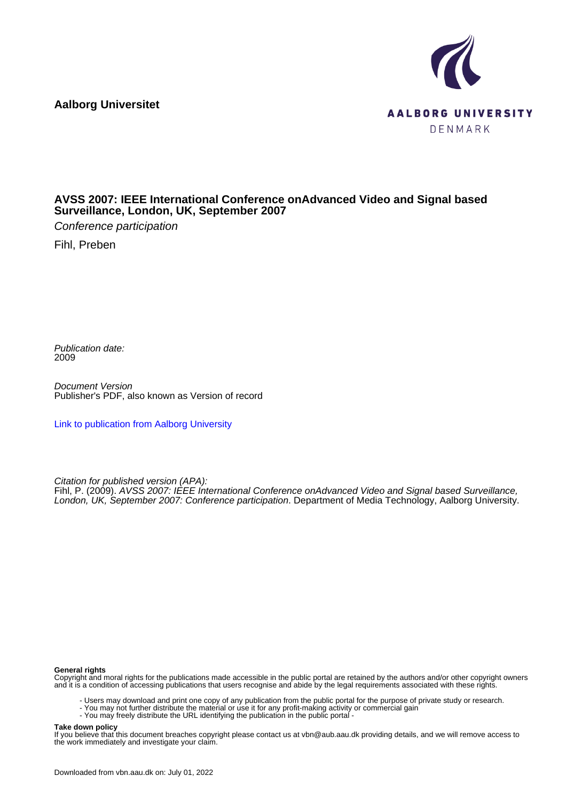**Aalborg Universitet**



#### **AVSS 2007: IEEE International Conference onAdvanced Video and Signal based Surveillance, London, UK, September 2007**

Conference participation

Fihl, Preben

Publication date: 2009

Document Version Publisher's PDF, also known as Version of record

[Link to publication from Aalborg University](https://vbn.aau.dk/en/publications/1b5f4ce0-eb7e-11dd-b0a4-000ea68e967b)

Citation for published version (APA):

Fihl, P. (2009). AVSS 2007: IEEE International Conference onAdvanced Video and Signal based Surveillance, London, UK, September 2007: Conference participation. Department of Media Technology, Aalborg University.

#### **General rights**

Copyright and moral rights for the publications made accessible in the public portal are retained by the authors and/or other copyright owners and it is a condition of accessing publications that users recognise and abide by the legal requirements associated with these rights.

- Users may download and print one copy of any publication from the public portal for the purpose of private study or research.
- You may not further distribute the material or use it for any profit-making activity or commercial gain
- You may freely distribute the URL identifying the publication in the public portal -

#### **Take down policy**

If you believe that this document breaches copyright please contact us at vbn@aub.aau.dk providing details, and we will remove access to the work immediately and investigate your claim.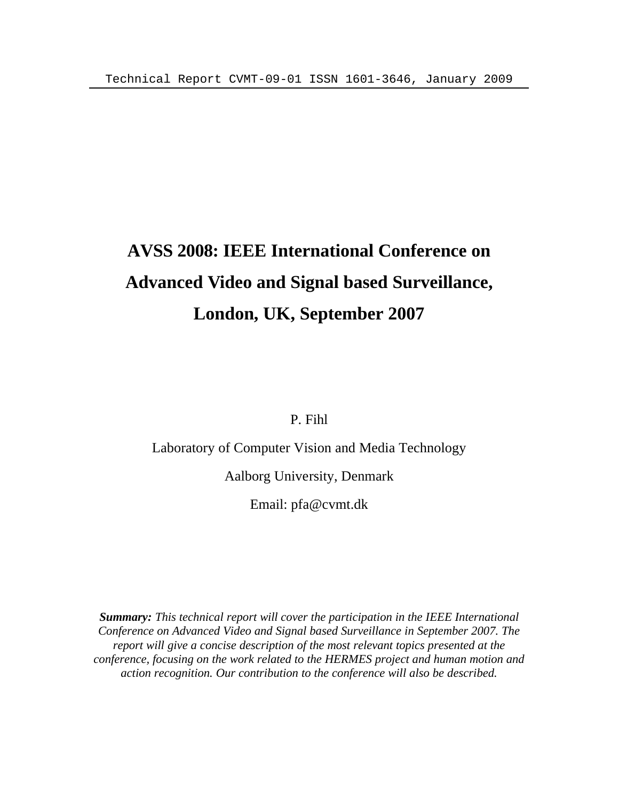# **AVSS 2008: IEEE International Conference on Advanced Video and Signal based Surveillance, London, UK, September 2007**

P. Fihl

Laboratory of Computer Vision and Media Technology

Aalborg University, Denmark

Email: pfa@cvmt.dk

*Summary: This technical report will cover the participation in the IEEE International Conference on Advanced Video and Signal based Surveillance in September 2007. The report will give a concise description of the most relevant topics presented at the conference, focusing on the work related to the HERMES project and human motion and action recognition. Our contribution to the conference will also be described.*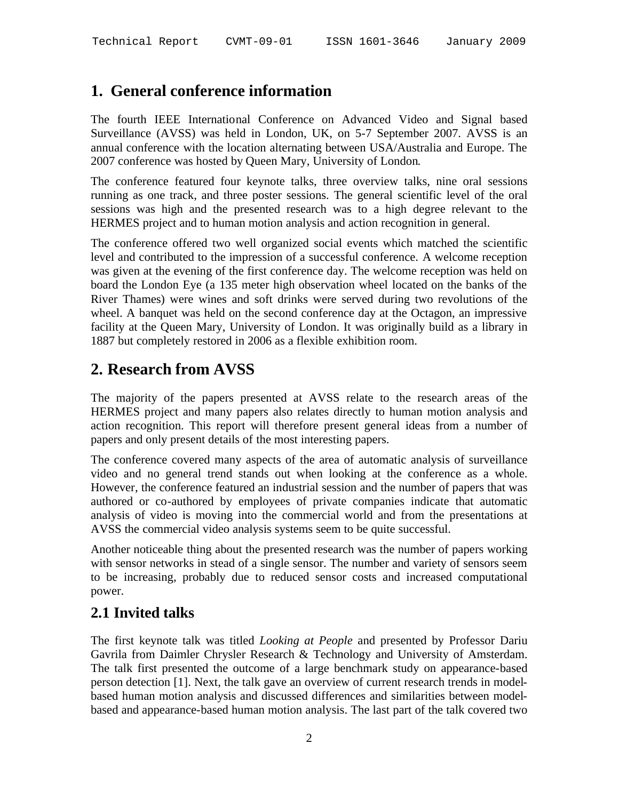## **1. General conference information**

The fourth IEEE International Conference on Advanced Video and Signal based Surveillance (AVSS) was held in London, UK, on 5-7 September 2007. AVSS is an annual conference with the location alternating between USA/Australia and Europe. The 2007 conference was hosted by Queen Mary, University of London.

The conference featured four keynote talks, three overview talks, nine oral sessions running as one track, and three poster sessions. The general scientific level of the oral sessions was high and the presented research was to a high degree relevant to the HERMES project and to human motion analysis and action recognition in general.

The conference offered two well organized social events which matched the scientific level and contributed to the impression of a successful conference. A welcome reception was given at the evening of the first conference day. The welcome reception was held on board the London Eye (a 135 meter high observation wheel located on the banks of the River Thames) were wines and soft drinks were served during two revolutions of the wheel. A banquet was held on the second conference day at the Octagon, an impressive facility at the Queen Mary, University of London. It was originally build as a library in 1887 but completely restored in 2006 as a flexible exhibition room.

### **2. Research from AVSS**

The majority of the papers presented at AVSS relate to the research areas of the HERMES project and many papers also relates directly to human motion analysis and action recognition. This report will therefore present general ideas from a number of papers and only present details of the most interesting papers.

The conference covered many aspects of the area of automatic analysis of surveillance video and no general trend stands out when looking at the conference as a whole. However, the conference featured an industrial session and the number of papers that was authored or co-authored by employees of private companies indicate that automatic analysis of video is moving into the commercial world and from the presentations at AVSS the commercial video analysis systems seem to be quite successful.

Another noticeable thing about the presented research was the number of papers working with sensor networks in stead of a single sensor. The number and variety of sensors seem to be increasing, probably due to reduced sensor costs and increased computational power.

### **2.1 Invited talks**

The first keynote talk was titled *Looking at People* and presented by Professor Dariu Gavrila from Daimler Chrysler Research & Technology and University of Amsterdam. The talk first presented the outcome of a large benchmark study on appearance-based person detection [1]. Next, the talk gave an overview of current research trends in modelbased human motion analysis and discussed differences and similarities between modelbased and appearance-based human motion analysis. The last part of the talk covered two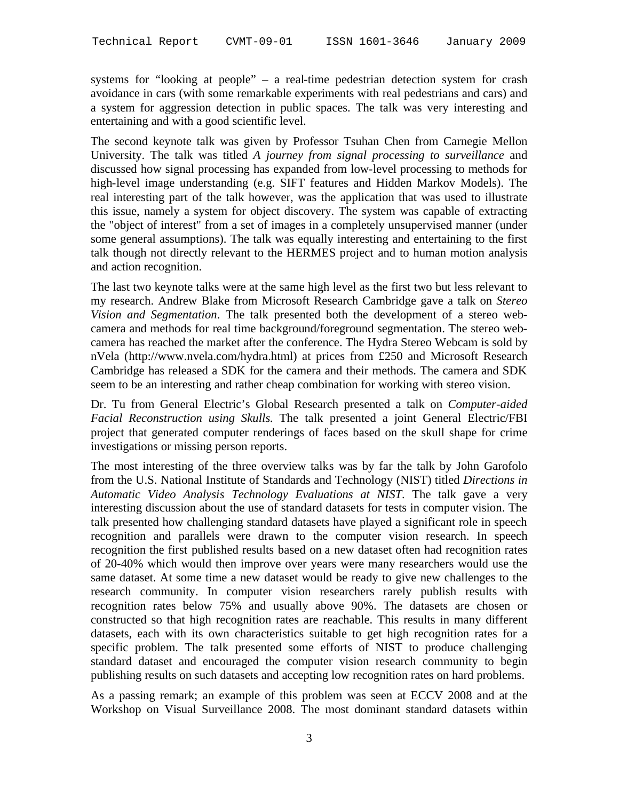systems for "looking at people" – a real-time pedestrian detection system for crash avoidance in cars (with some remarkable experiments with real pedestrians and cars) and a system for aggression detection in public spaces. The talk was very interesting and entertaining and with a good scientific level.

The second keynote talk was given by Professor Tsuhan Chen from Carnegie Mellon University. The talk was titled *A journey from signal processing to surveillance* and discussed how signal processing has expanded from low-level processing to methods for high-level image understanding (e.g. SIFT features and Hidden Markov Models). The real interesting part of the talk however, was the application that was used to illustrate this issue, namely a system for object discovery. The system was capable of extracting the "object of interest" from a set of images in a completely unsupervised manner (under some general assumptions). The talk was equally interesting and entertaining to the first talk though not directly relevant to the HERMES project and to human motion analysis and action recognition.

The last two keynote talks were at the same high level as the first two but less relevant to my research. Andrew Blake from Microsoft Research Cambridge gave a talk on *Stereo Vision and Segmentation*. The talk presented both the development of a stereo webcamera and methods for real time background/foreground segmentation. The stereo webcamera has reached the market after the conference. The Hydra Stereo Webcam is sold by nVela (http://www.nvela.com/hydra.html) at prices from £250 and Microsoft Research Cambridge has released a SDK for the camera and their methods. The camera and SDK seem to be an interesting and rather cheap combination for working with stereo vision.

Dr. Tu from General Electric's Global Research presented a talk on *Computer-aided Facial Reconstruction using Skulls*. The talk presented a joint General Electric/FBI project that generated computer renderings of faces based on the skull shape for crime investigations or missing person reports.

The most interesting of the three overview talks was by far the talk by John Garofolo from the U.S. National Institute of Standards and Technology (NIST) titled *Directions in Automatic Video Analysis Technology Evaluations at NIST*. The talk gave a very interesting discussion about the use of standard datasets for tests in computer vision. The talk presented how challenging standard datasets have played a significant role in speech recognition and parallels were drawn to the computer vision research. In speech recognition the first published results based on a new dataset often had recognition rates of 20-40% which would then improve over years were many researchers would use the same dataset. At some time a new dataset would be ready to give new challenges to the research community. In computer vision researchers rarely publish results with recognition rates below 75% and usually above 90%. The datasets are chosen or constructed so that high recognition rates are reachable. This results in many different datasets, each with its own characteristics suitable to get high recognition rates for a specific problem. The talk presented some efforts of NIST to produce challenging standard dataset and encouraged the computer vision research community to begin publishing results on such datasets and accepting low recognition rates on hard problems.

As a passing remark; an example of this problem was seen at ECCV 2008 and at the Workshop on Visual Surveillance 2008. The most dominant standard datasets within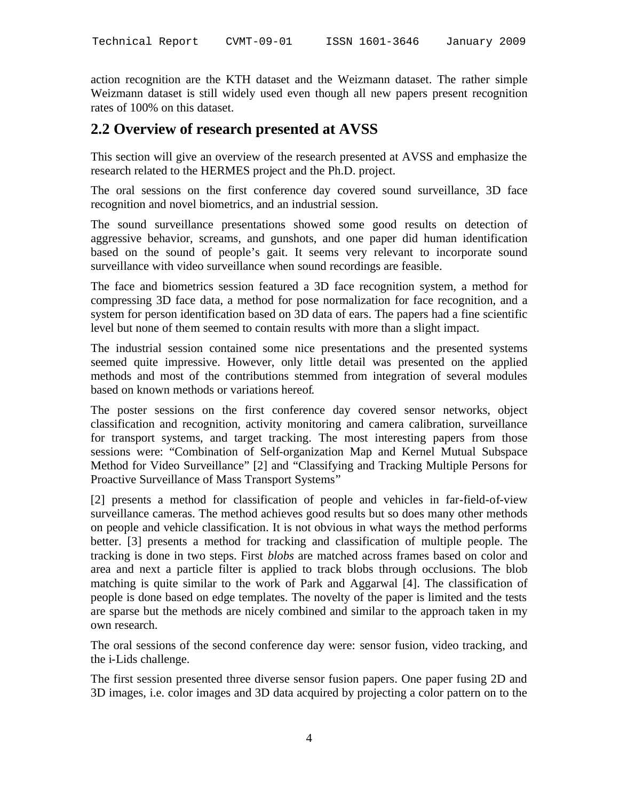action recognition are the KTH dataset and the Weizmann dataset. The rather simple Weizmann dataset is still widely used even though all new papers present recognition rates of 100% on this dataset.

#### **2.2 Overview of research presented at AVSS**

This section will give an overview of the research presented at AVSS and emphasize the research related to the HERMES project and the Ph.D. project.

The oral sessions on the first conference day covered sound surveillance, 3D face recognition and novel biometrics, and an industrial session.

The sound surveillance presentations showed some good results on detection of aggressive behavior, screams, and gunshots, and one paper did human identification based on the sound of people's gait. It seems very relevant to incorporate sound surveillance with video surveillance when sound recordings are feasible.

The face and biometrics session featured a 3D face recognition system, a method for compressing 3D face data, a method for pose normalization for face recognition, and a system for person identification based on 3D data of ears. The papers had a fine scientific level but none of them seemed to contain results with more than a slight impact.

The industrial session contained some nice presentations and the presented systems seemed quite impressive. However, only little detail was presented on the applied methods and most of the contributions stemmed from integration of several modules based on known methods or variations hereof.

The poster sessions on the first conference day covered sensor networks, object classification and recognition, activity monitoring and camera calibration, surveillance for transport systems, and target tracking. The most interesting papers from those sessions were: "Combination of Self-organization Map and Kernel Mutual Subspace Method for Video Surveillance" [2] and "Classifying and Tracking Multiple Persons for Proactive Surveillance of Mass Transport Systems"

[2] presents a method for classification of people and vehicles in far-field-of-view surveillance cameras. The method achieves good results but so does many other methods on people and vehicle classification. It is not obvious in what ways the method performs better. [3] presents a method for tracking and classification of multiple people. The tracking is done in two steps. First *blobs* are matched across frames based on color and area and next a particle filter is applied to track blobs through occlusions. The blob matching is quite similar to the work of Park and Aggarwal [4]. The classification of people is done based on edge templates. The novelty of the paper is limited and the tests are sparse but the methods are nicely combined and similar to the approach taken in my own research.

The oral sessions of the second conference day were: sensor fusion, video tracking, and the i-Lids challenge.

The first session presented three diverse sensor fusion papers. One paper fusing 2D and 3D images, i.e. color images and 3D data acquired by projecting a color pattern on to the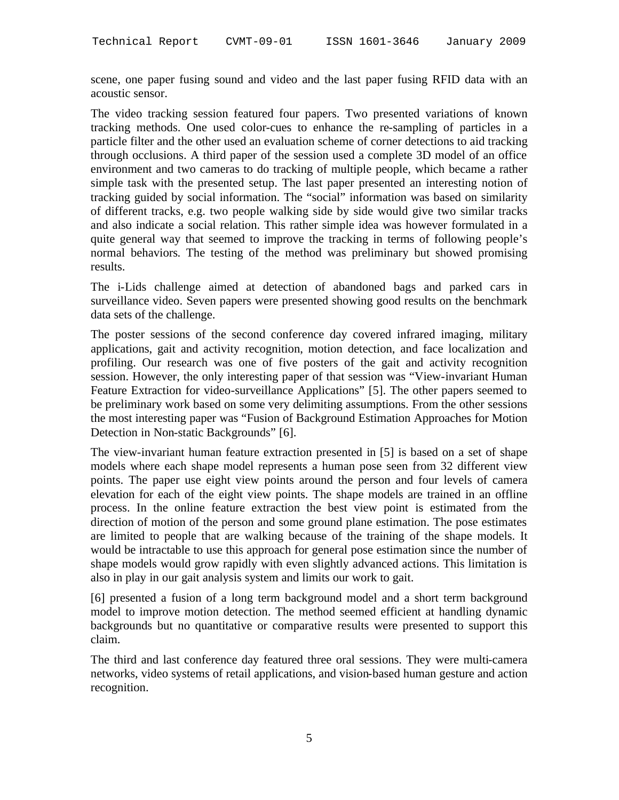scene, one paper fusing sound and video and the last paper fusing RFID data with an acoustic sensor.

The video tracking session featured four papers. Two presented variations of known tracking methods. One used color-cues to enhance the re-sampling of particles in a particle filter and the other used an evaluation scheme of corner detections to aid tracking through occlusions. A third paper of the session used a complete 3D model of an office environment and two cameras to do tracking of multiple people, which became a rather simple task with the presented setup. The last paper presented an interesting notion of tracking guided by social information. The "social" information was based on similarity of different tracks, e.g. two people walking side by side would give two similar tracks and also indicate a social relation. This rather simple idea was however formulated in a quite general way that seemed to improve the tracking in terms of following people's normal behaviors. The testing of the method was preliminary but showed promising results.

The i-Lids challenge aimed at detection of abandoned bags and parked cars in surveillance video. Seven papers were presented showing good results on the benchmark data sets of the challenge.

The poster sessions of the second conference day covered infrared imaging, military applications, gait and activity recognition, motion detection, and face localization and profiling. Our research was one of five posters of the gait and activity recognition session. However, the only interesting paper of that session was "View-invariant Human Feature Extraction for video-surveillance Applications" [5]. The other papers seemed to be preliminary work based on some very delimiting assumptions. From the other sessions the most interesting paper was "Fusion of Background Estimation Approaches for Motion Detection in Non-static Backgrounds" [6].

The view-invariant human feature extraction presented in [5] is based on a set of shape models where each shape model represents a human pose seen from 32 different view points. The paper use eight view points around the person and four levels of camera elevation for each of the eight view points. The shape models are trained in an offline process. In the online feature extraction the best view point is estimated from the direction of motion of the person and some ground plane estimation. The pose estimates are limited to people that are walking because of the training of the shape models. It would be intractable to use this approach for general pose estimation since the number of shape models would grow rapidly with even slightly advanced actions. This limitation is also in play in our gait analysis system and limits our work to gait.

[6] presented a fusion of a long term background model and a short term background model to improve motion detection. The method seemed efficient at handling dynamic backgrounds but no quantitative or comparative results were presented to support this claim.

The third and last conference day featured three oral sessions. They were multi-camera networks, video systems of retail applications, and vision-based human gesture and action recognition.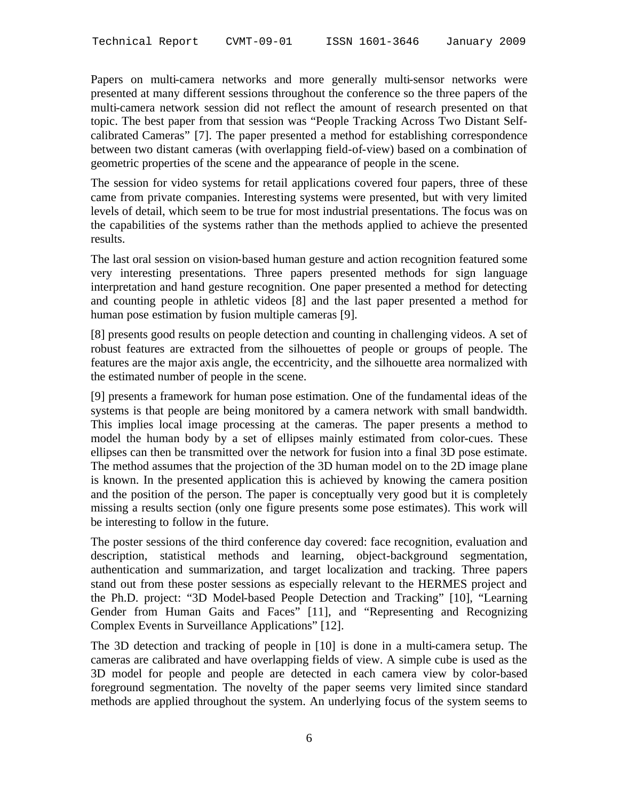Papers on multi-camera networks and more generally multi-sensor networks were presented at many different sessions throughout the conference so the three papers of the multi-camera network session did not reflect the amount of research presented on that topic. The best paper from that session was "People Tracking Across Two Distant Selfcalibrated Cameras" [7]. The paper presented a method for establishing correspondence between two distant cameras (with overlapping field-of-view) based on a combination of geometric properties of the scene and the appearance of people in the scene.

The session for video systems for retail applications covered four papers, three of these came from private companies. Interesting systems were presented, but with very limited levels of detail, which seem to be true for most industrial presentations. The focus was on the capabilities of the systems rather than the methods applied to achieve the presented results.

The last oral session on vision-based human gesture and action recognition featured some very interesting presentations. Three papers presented methods for sign language interpretation and hand gesture recognition. One paper presented a method for detecting and counting people in athletic videos [8] and the last paper presented a method for human pose estimation by fusion multiple cameras [9].

[8] presents good results on people detection and counting in challenging videos. A set of robust features are extracted from the silhouettes of people or groups of people. The features are the major axis angle, the eccentricity, and the silhouette area normalized with the estimated number of people in the scene.

[9] presents a framework for human pose estimation. One of the fundamental ideas of the systems is that people are being monitored by a camera network with small bandwidth. This implies local image processing at the cameras. The paper presents a method to model the human body by a set of ellipses mainly estimated from color-cues. These ellipses can then be transmitted over the network for fusion into a final 3D pose estimate. The method assumes that the projection of the 3D human model on to the 2D image plane is known. In the presented application this is achieved by knowing the camera position and the position of the person. The paper is conceptually very good but it is completely missing a results section (only one figure presents some pose estimates). This work will be interesting to follow in the future.

The poster sessions of the third conference day covered: face recognition, evaluation and description, statistical methods and learning, object-background segmentation, authentication and summarization, and target localization and tracking. Three papers stand out from these poster sessions as especially relevant to the HERMES project and the Ph.D. project: "3D Model-based People Detection and Tracking" [10], "Learning Gender from Human Gaits and Faces" [11], and "Representing and Recognizing Complex Events in Surveillance Applications" [12].

The 3D detection and tracking of people in [10] is done in a multi-camera setup. The cameras are calibrated and have overlapping fields of view. A simple cube is used as the 3D model for people and people are detected in each camera view by color-based foreground segmentation. The novelty of the paper seems very limited since standard methods are applied throughout the system. An underlying focus of the system seems to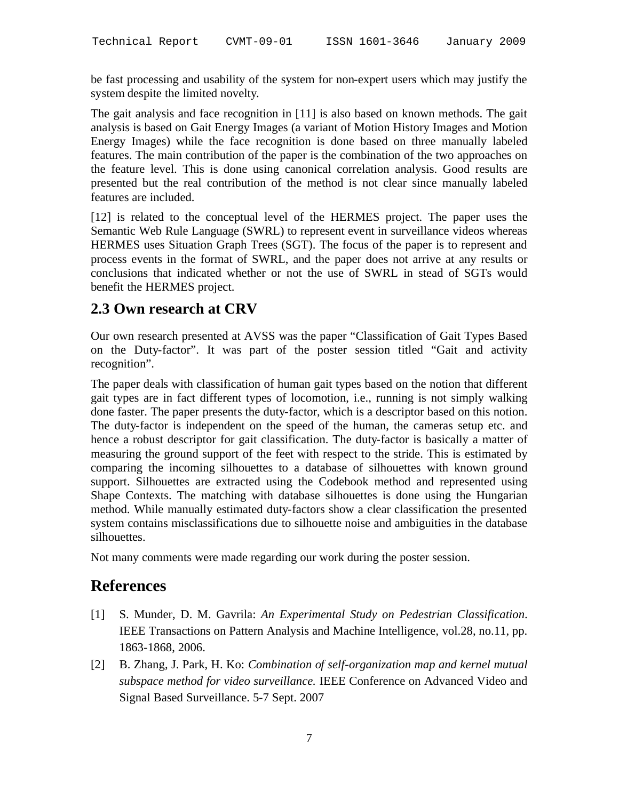be fast processing and usability of the system for non-expert users which may justify the system despite the limited novelty.

The gait analysis and face recognition in [11] is also based on known methods. The gait analysis is based on Gait Energy Images (a variant of Motion History Images and Motion Energy Images) while the face recognition is done based on three manually labeled features. The main contribution of the paper is the combination of the two approaches on the feature level. This is done using canonical correlation analysis. Good results are presented but the real contribution of the method is not clear since manually labeled features are included.

[12] is related to the conceptual level of the HERMES project. The paper uses the Semantic Web Rule Language (SWRL) to represent event in surveillance videos whereas HERMES uses Situation Graph Trees (SGT). The focus of the paper is to represent and process events in the format of SWRL, and the paper does not arrive at any results or conclusions that indicated whether or not the use of SWRL in stead of SGTs would benefit the HERMES project.

#### **2.3 Own research at CRV**

Our own research presented at AVSS was the paper "Classification of Gait Types Based on the Duty-factor". It was part of the poster session titled "Gait and activity recognition".

The paper deals with classification of human gait types based on the notion that different gait types are in fact different types of locomotion, i.e., running is not simply walking done faster. The paper presents the duty-factor, which is a descriptor based on this notion. The duty-factor is independent on the speed of the human, the cameras setup etc. and hence a robust descriptor for gait classification. The duty-factor is basically a matter of measuring the ground support of the feet with respect to the stride. This is estimated by comparing the incoming silhouettes to a database of silhouettes with known ground support. Silhouettes are extracted using the Codebook method and represented using Shape Contexts. The matching with database silhouettes is done using the Hungarian method. While manually estimated duty-factors show a clear classification the presented system contains misclassifications due to silhouette noise and ambiguities in the database silhouettes.

Not many comments were made regarding our work during the poster session.

#### **References**

- [1] S. Munder, D. M. Gavrila: *An Experimental Study on Pedestrian Classification*. IEEE Transactions on Pattern Analysis and Machine Intelligence*,* vol.28, no.11, pp. 1863-1868, 2006.
- [2] B. Zhang, J. Park, H. Ko: *Combination of self-organization map and kernel mutual subspace method for video surveillance.* IEEE Conference on Advanced Video and Signal Based Surveillance. 5-7 Sept. 2007